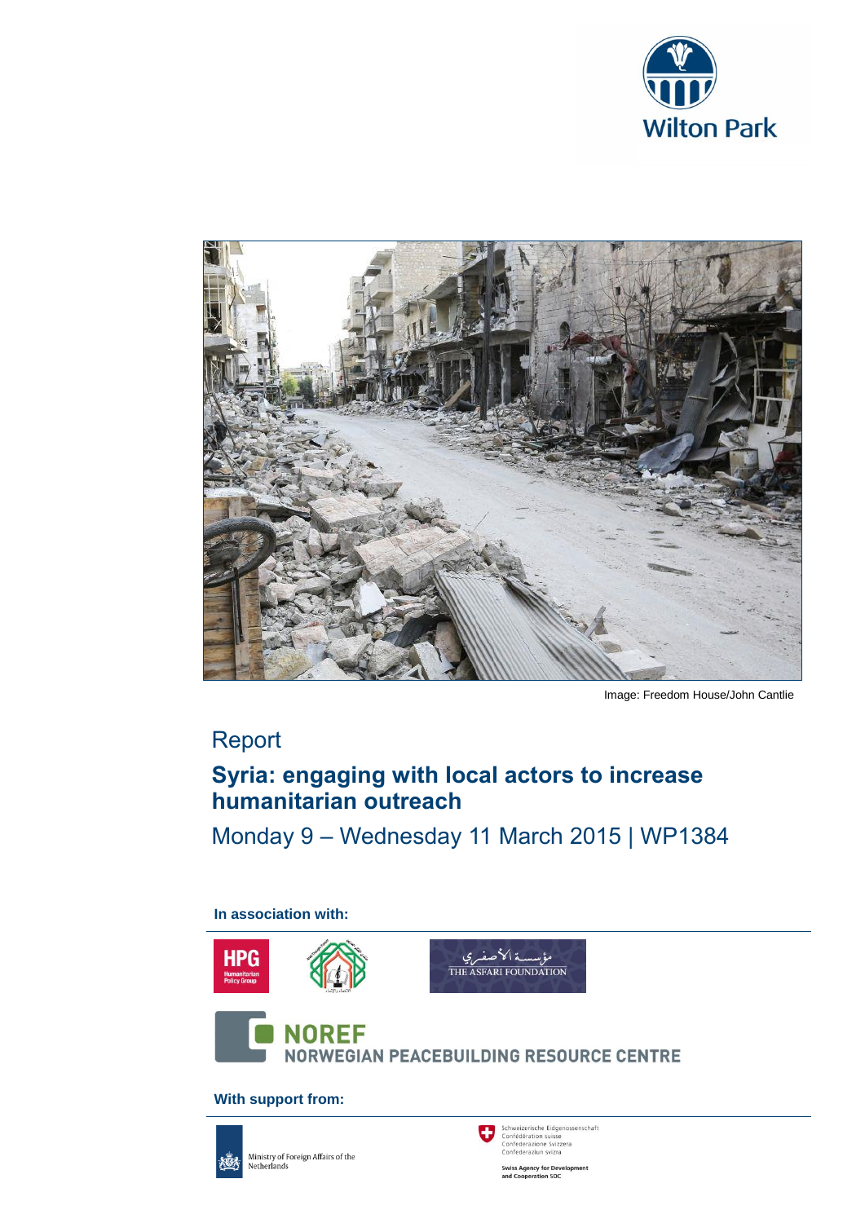



Image: Freedom House/John Cantlie

# Report

# **Syria: engaging with local actors to increase humanitarian outreach**

Monday 9 – Wednesday 11 March 2015 | WP1384

**In association with:**



**With support from:**



Ministry of Foreign Affairs of the<br>Netherlands

Schweizerische Eidgenossenschaft<br>Confédération suisse<br>Confederazione Svizzera<br>Confederaziun svizra O

**Swiss Agency for Development**<br>and Cooperation SDC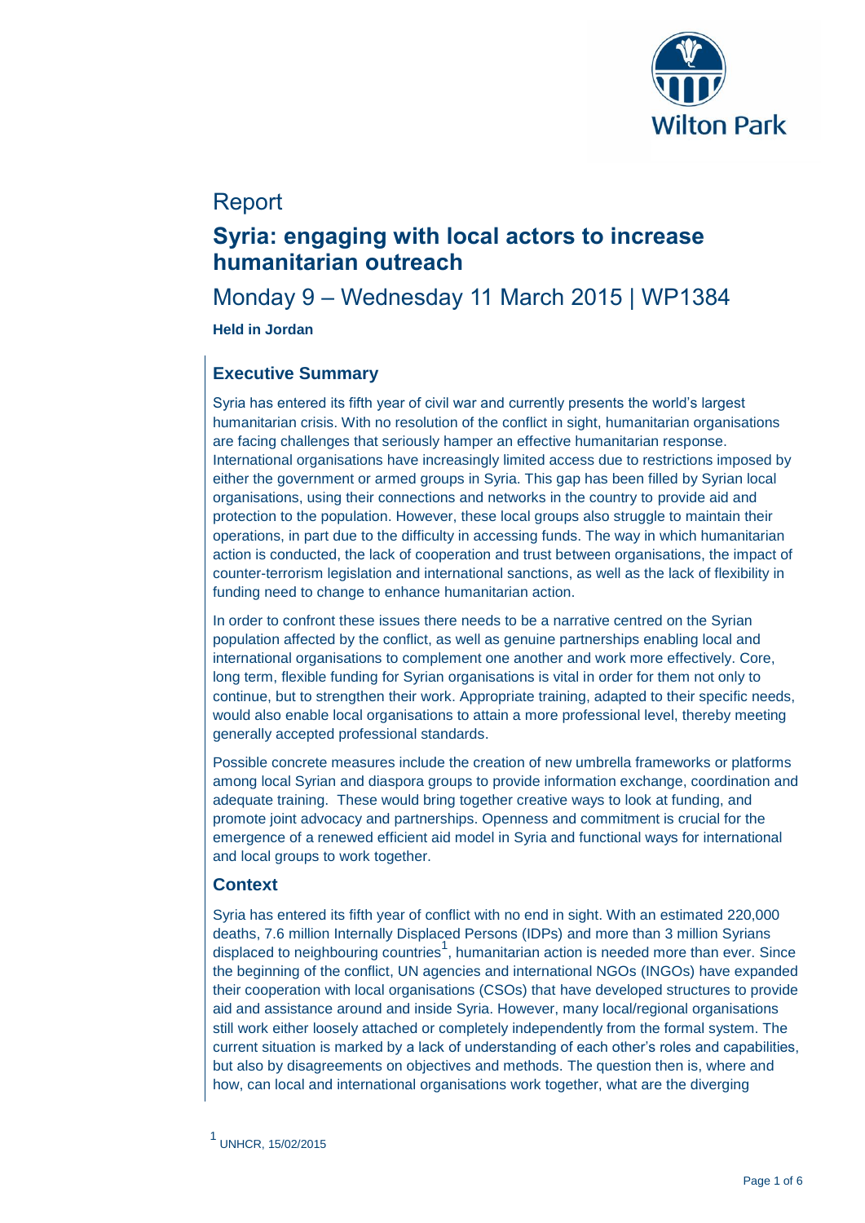

# Report

# **Syria: engaging with local actors to increase humanitarian outreach**

## Monday 9 – Wednesday 11 March 2015 | WP1384

### **Held in Jordan**

### **Executive Summary**

Syria has entered its fifth year of civil war and currently presents the world's largest humanitarian crisis. With no resolution of the conflict in sight, humanitarian organisations are facing challenges that seriously hamper an effective humanitarian response. International organisations have increasingly limited access due to restrictions imposed by either the government or armed groups in Syria. This gap has been filled by Syrian local organisations, using their connections and networks in the country to provide aid and protection to the population. However, these local groups also struggle to maintain their operations, in part due to the difficulty in accessing funds. The way in which humanitarian action is conducted, the lack of cooperation and trust between organisations, the impact of counter-terrorism legislation and international sanctions, as well as the lack of flexibility in funding need to change to enhance humanitarian action.

In order to confront these issues there needs to be a narrative centred on the Syrian population affected by the conflict, as well as genuine partnerships enabling local and international organisations to complement one another and work more effectively. Core, long term, flexible funding for Syrian organisations is vital in order for them not only to continue, but to strengthen their work. Appropriate training, adapted to their specific needs, would also enable local organisations to attain a more professional level, thereby meeting generally accepted professional standards.

Possible concrete measures include the creation of new umbrella frameworks or platforms among local Syrian and diaspora groups to provide information exchange, coordination and adequate training. These would bring together creative ways to look at funding, and promote joint advocacy and partnerships. Openness and commitment is crucial for the emergence of a renewed efficient aid model in Syria and functional ways for international and local groups to work together.

### **Context**

Syria has entered its fifth year of conflict with no end in sight. With an estimated 220,000 deaths, 7.6 million Internally Displaced Persons (IDPs) and more than 3 million Syrians displaced to neighbouring countries<sup>1</sup>, humanitarian action is needed more than ever. Since the beginning of the conflict, UN agencies and international NGOs (INGOs) have expanded their cooperation with local organisations (CSOs) that have developed structures to provide aid and assistance around and inside Syria. However, many local/regional organisations still work either loosely attached or completely independently from the formal system. The current situation is marked by a lack of understanding of each other's roles and capabilities, but also by disagreements on objectives and methods. The question then is, where and how, can local and international organisations work together, what are the diverging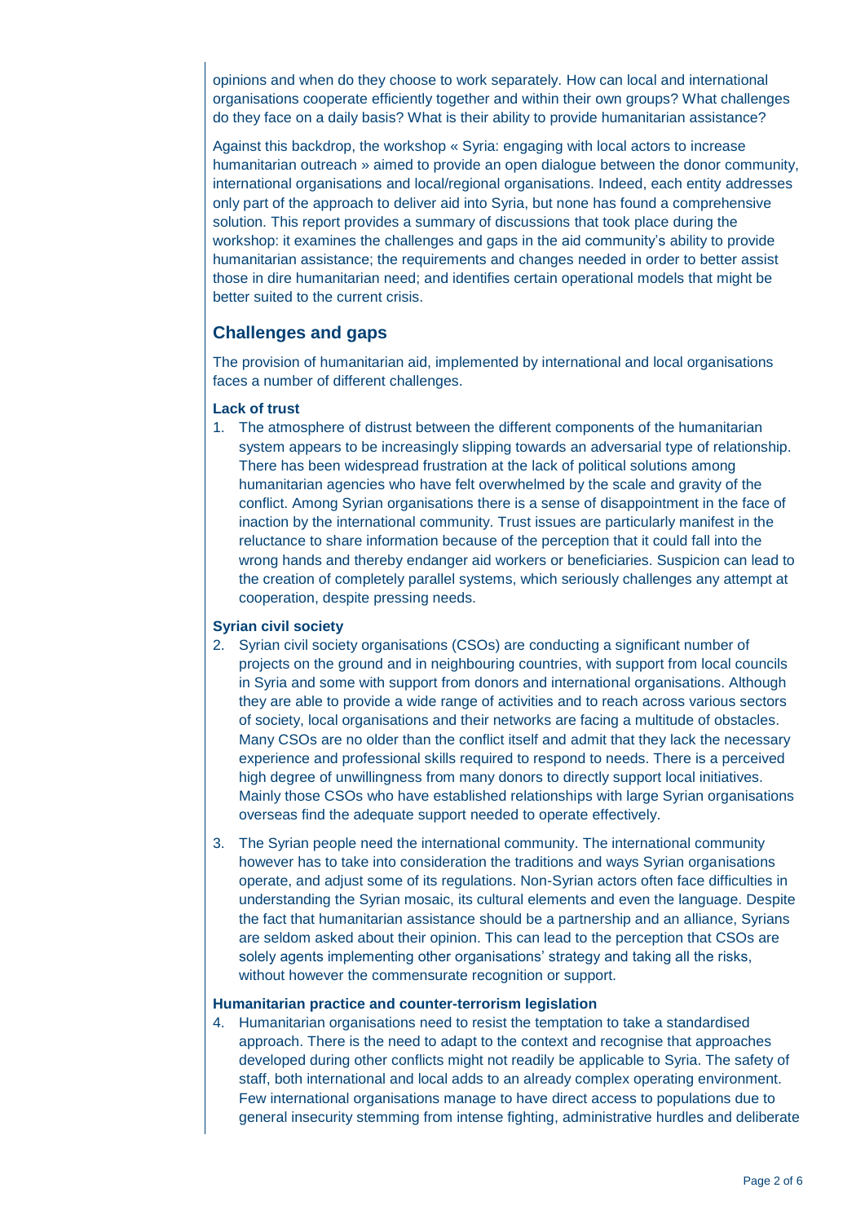opinions and when do they choose to work separately. How can local and international organisations cooperate efficiently together and within their own groups? What challenges do they face on a daily basis? What is their ability to provide humanitarian assistance?

Against this backdrop, the workshop « Syria: engaging with local actors to increase humanitarian outreach » aimed to provide an open dialogue between the donor community, international organisations and local/regional organisations. Indeed, each entity addresses only part of the approach to deliver aid into Syria, but none has found a comprehensive solution. This report provides a summary of discussions that took place during the workshop: it examines the challenges and gaps in the aid community's ability to provide humanitarian assistance; the requirements and changes needed in order to better assist those in dire humanitarian need; and identifies certain operational models that might be better suited to the current crisis.

### **Challenges and gaps**

The provision of humanitarian aid, implemented by international and local organisations faces a number of different challenges.

#### **Lack of trust**

1. The atmosphere of distrust between the different components of the humanitarian system appears to be increasingly slipping towards an adversarial type of relationship. There has been widespread frustration at the lack of political solutions among humanitarian agencies who have felt overwhelmed by the scale and gravity of the conflict. Among Syrian organisations there is a sense of disappointment in the face of inaction by the international community. Trust issues are particularly manifest in the reluctance to share information because of the perception that it could fall into the wrong hands and thereby endanger aid workers or beneficiaries. Suspicion can lead to the creation of completely parallel systems, which seriously challenges any attempt at cooperation, despite pressing needs.

#### **Syrian civil society**

- 2. Syrian civil society organisations (CSOs) are conducting a significant number of projects on the ground and in neighbouring countries, with support from local councils in Syria and some with support from donors and international organisations. Although they are able to provide a wide range of activities and to reach across various sectors of society, local organisations and their networks are facing a multitude of obstacles. Many CSOs are no older than the conflict itself and admit that they lack the necessary experience and professional skills required to respond to needs. There is a perceived high degree of unwillingness from many donors to directly support local initiatives. Mainly those CSOs who have established relationships with large Syrian organisations overseas find the adequate support needed to operate effectively.
- 3. The Syrian people need the international community. The international community however has to take into consideration the traditions and ways Syrian organisations operate, and adjust some of its regulations. Non-Syrian actors often face difficulties in understanding the Syrian mosaic, its cultural elements and even the language. Despite the fact that humanitarian assistance should be a partnership and an alliance, Syrians are seldom asked about their opinion. This can lead to the perception that CSOs are solely agents implementing other organisations' strategy and taking all the risks, without however the commensurate recognition or support.

#### **Humanitarian practice and counter-terrorism legislation**

4. Humanitarian organisations need to resist the temptation to take a standardised approach. There is the need to adapt to the context and recognise that approaches developed during other conflicts might not readily be applicable to Syria. The safety of staff, both international and local adds to an already complex operating environment. Few international organisations manage to have direct access to populations due to general insecurity stemming from intense fighting, administrative hurdles and deliberate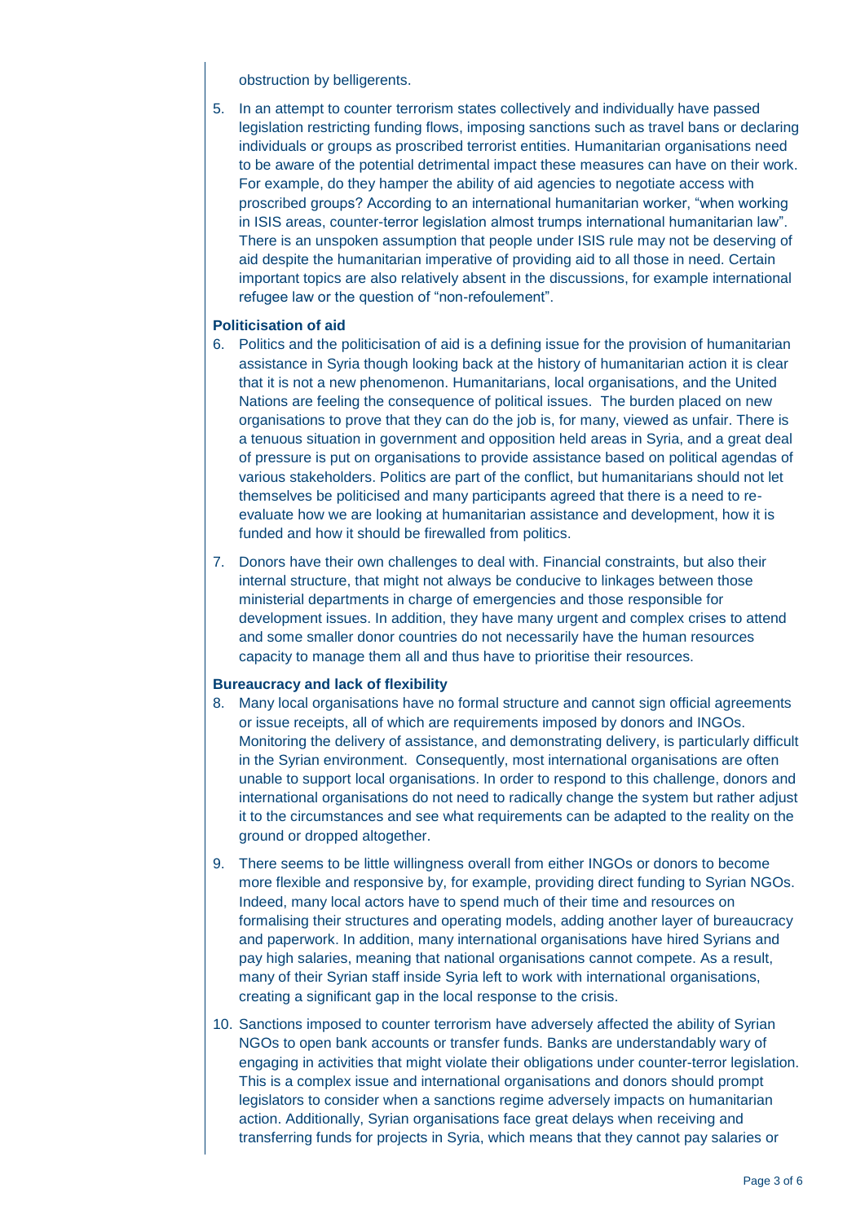obstruction by belligerents.

5. In an attempt to counter terrorism states collectively and individually have passed legislation restricting funding flows, imposing sanctions such as travel bans or declaring individuals or groups as proscribed terrorist entities. Humanitarian organisations need to be aware of the potential detrimental impact these measures can have on their work. For example, do they hamper the ability of aid agencies to negotiate access with proscribed groups? According to an international humanitarian worker, "when working in ISIS areas, counter-terror legislation almost trumps international humanitarian law". There is an unspoken assumption that people under ISIS rule may not be deserving of aid despite the humanitarian imperative of providing aid to all those in need. Certain important topics are also relatively absent in the discussions, for example international refugee law or the question of "non-refoulement".

#### **Politicisation of aid**

- 6. Politics and the politicisation of aid is a defining issue for the provision of humanitarian assistance in Syria though looking back at the history of humanitarian action it is clear that it is not a new phenomenon. Humanitarians, local organisations, and the United Nations are feeling the consequence of political issues. The burden placed on new organisations to prove that they can do the job is, for many, viewed as unfair. There is a tenuous situation in government and opposition held areas in Syria, and a great deal of pressure is put on organisations to provide assistance based on political agendas of various stakeholders. Politics are part of the conflict, but humanitarians should not let themselves be politicised and many participants agreed that there is a need to reevaluate how we are looking at humanitarian assistance and development, how it is funded and how it should be firewalled from politics.
- 7. Donors have their own challenges to deal with. Financial constraints, but also their internal structure, that might not always be conducive to linkages between those ministerial departments in charge of emergencies and those responsible for development issues. In addition, they have many urgent and complex crises to attend and some smaller donor countries do not necessarily have the human resources capacity to manage them all and thus have to prioritise their resources.

#### **Bureaucracy and lack of flexibility**

- 8. Many local organisations have no formal structure and cannot sign official agreements or issue receipts, all of which are requirements imposed by donors and INGOs. Monitoring the delivery of assistance, and demonstrating delivery, is particularly difficult in the Syrian environment. Consequently, most international organisations are often unable to support local organisations. In order to respond to this challenge, donors and international organisations do not need to radically change the system but rather adjust it to the circumstances and see what requirements can be adapted to the reality on the ground or dropped altogether.
- 9. There seems to be little willingness overall from either INGOs or donors to become more flexible and responsive by, for example, providing direct funding to Syrian NGOs. Indeed, many local actors have to spend much of their time and resources on formalising their structures and operating models, adding another layer of bureaucracy and paperwork. In addition, many international organisations have hired Syrians and pay high salaries, meaning that national organisations cannot compete. As a result, many of their Syrian staff inside Syria left to work with international organisations, creating a significant gap in the local response to the crisis.
- 10. Sanctions imposed to counter terrorism have adversely affected the ability of Syrian NGOs to open bank accounts or transfer funds. Banks are understandably wary of engaging in activities that might violate their obligations under counter-terror legislation. This is a complex issue and international organisations and donors should prompt legislators to consider when a sanctions regime adversely impacts on humanitarian action. Additionally, Syrian organisations face great delays when receiving and transferring funds for projects in Syria, which means that they cannot pay salaries or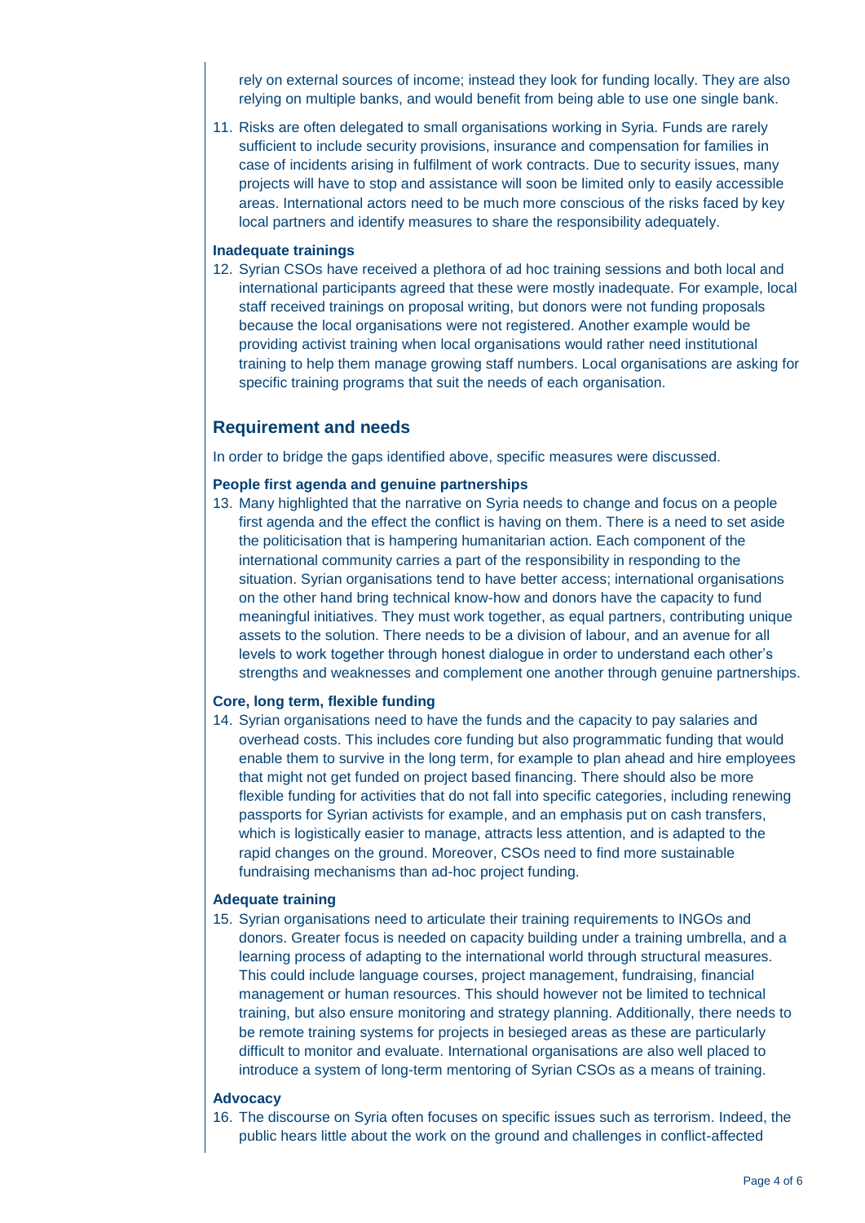rely on external sources of income; instead they look for funding locally. They are also relying on multiple banks, and would benefit from being able to use one single bank.

11. Risks are often delegated to small organisations working in Syria. Funds are rarely sufficient to include security provisions, insurance and compensation for families in case of incidents arising in fulfilment of work contracts. Due to security issues, many projects will have to stop and assistance will soon be limited only to easily accessible areas. International actors need to be much more conscious of the risks faced by key local partners and identify measures to share the responsibility adequately.

#### **Inadequate trainings**

12. Syrian CSOs have received a plethora of ad hoc training sessions and both local and international participants agreed that these were mostly inadequate. For example, local staff received trainings on proposal writing, but donors were not funding proposals because the local organisations were not registered. Another example would be providing activist training when local organisations would rather need institutional training to help them manage growing staff numbers. Local organisations are asking for specific training programs that suit the needs of each organisation.

#### **Requirement and needs**

In order to bridge the gaps identified above, specific measures were discussed.

#### **People first agenda and genuine partnerships**

13. Many highlighted that the narrative on Syria needs to change and focus on a people first agenda and the effect the conflict is having on them. There is a need to set aside the politicisation that is hampering humanitarian action. Each component of the international community carries a part of the responsibility in responding to the situation. Syrian organisations tend to have better access; international organisations on the other hand bring technical know-how and donors have the capacity to fund meaningful initiatives. They must work together, as equal partners, contributing unique assets to the solution. There needs to be a division of labour, and an avenue for all levels to work together through honest dialogue in order to understand each other's strengths and weaknesses and complement one another through genuine partnerships.

#### **Core, long term, flexible funding**

14. Syrian organisations need to have the funds and the capacity to pay salaries and overhead costs. This includes core funding but also programmatic funding that would enable them to survive in the long term, for example to plan ahead and hire employees that might not get funded on project based financing. There should also be more flexible funding for activities that do not fall into specific categories, including renewing passports for Syrian activists for example, and an emphasis put on cash transfers, which is logistically easier to manage, attracts less attention, and is adapted to the rapid changes on the ground. Moreover, CSOs need to find more sustainable fundraising mechanisms than ad-hoc project funding.

#### **Adequate training**

15. Syrian organisations need to articulate their training requirements to INGOs and donors. Greater focus is needed on capacity building under a training umbrella, and a learning process of adapting to the international world through structural measures. This could include language courses, project management, fundraising, financial management or human resources. This should however not be limited to technical training, but also ensure monitoring and strategy planning. Additionally, there needs to be remote training systems for projects in besieged areas as these are particularly difficult to monitor and evaluate. International organisations are also well placed to introduce a system of long-term mentoring of Syrian CSOs as a means of training.

#### **Advocacy**

16. The discourse on Syria often focuses on specific issues such as terrorism. Indeed, the public hears little about the work on the ground and challenges in conflict-affected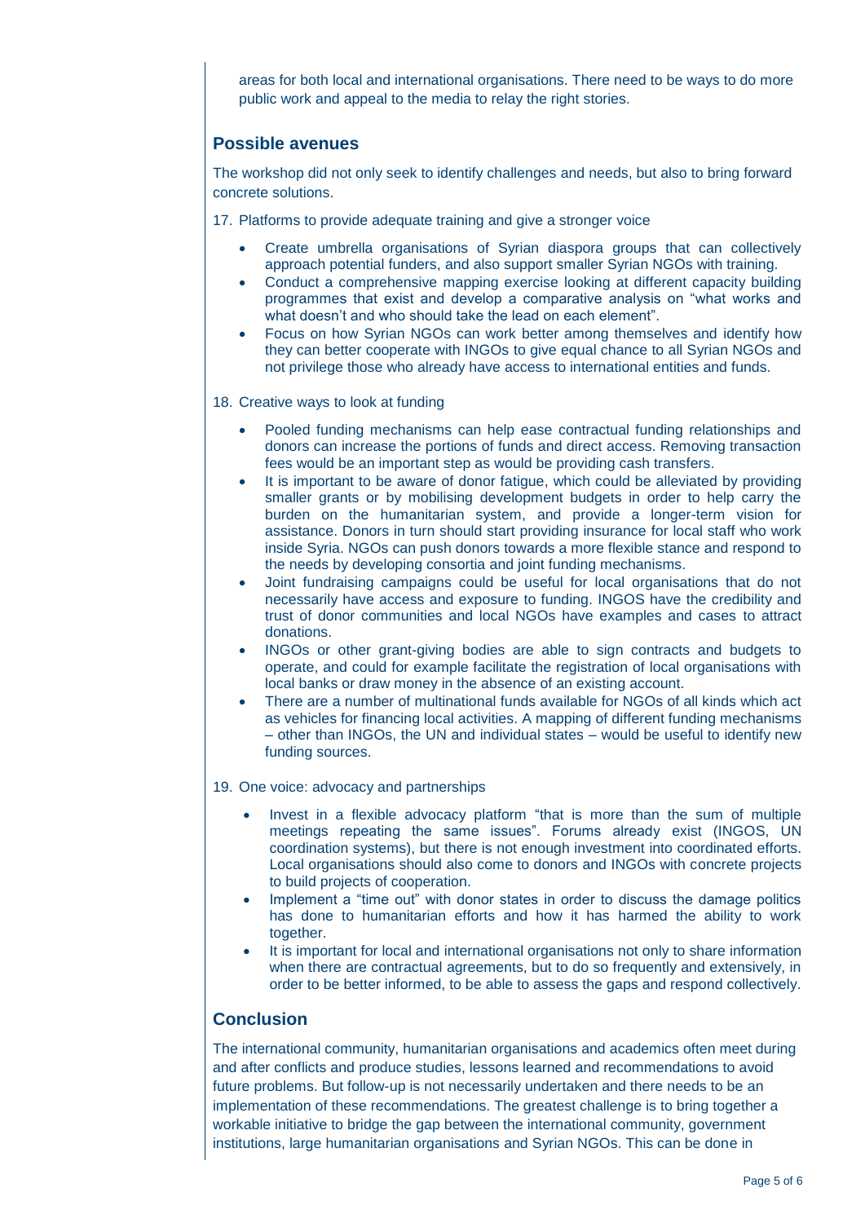areas for both local and international organisations. There need to be ways to do more public work and appeal to the media to relay the right stories.

### **Possible avenues**

The workshop did not only seek to identify challenges and needs, but also to bring forward concrete solutions.

17. Platforms to provide adequate training and give a stronger voice

- Create umbrella organisations of Syrian diaspora groups that can collectively approach potential funders, and also support smaller Syrian NGOs with training.
- Conduct a comprehensive mapping exercise looking at different capacity building programmes that exist and develop a comparative analysis on "what works and what doesn't and who should take the lead on each element".
- Focus on how Syrian NGOs can work better among themselves and identify how they can better cooperate with INGOs to give equal chance to all Syrian NGOs and not privilege those who already have access to international entities and funds.

18. Creative ways to look at funding

- Pooled funding mechanisms can help ease contractual funding relationships and donors can increase the portions of funds and direct access. Removing transaction fees would be an important step as would be providing cash transfers.
- It is important to be aware of donor fatigue, which could be alleviated by providing smaller grants or by mobilising development budgets in order to help carry the burden on the humanitarian system, and provide a longer-term vision for assistance. Donors in turn should start providing insurance for local staff who work inside Syria. NGOs can push donors towards a more flexible stance and respond to the needs by developing consortia and joint funding mechanisms.
- Joint fundraising campaigns could be useful for local organisations that do not necessarily have access and exposure to funding. INGOS have the credibility and trust of donor communities and local NGOs have examples and cases to attract donations.
- INGOs or other grant-giving bodies are able to sign contracts and budgets to operate, and could for example facilitate the registration of local organisations with local banks or draw money in the absence of an existing account.
- There are a number of multinational funds available for NGOs of all kinds which act as vehicles for financing local activities. A mapping of different funding mechanisms – other than INGOs, the UN and individual states – would be useful to identify new funding sources.

19. One voice: advocacy and partnerships

- Invest in a flexible advocacy platform "that is more than the sum of multiple meetings repeating the same issues". Forums already exist (INGOS, UN coordination systems), but there is not enough investment into coordinated efforts. Local organisations should also come to donors and INGOs with concrete projects to build projects of cooperation.
- Implement a "time out" with donor states in order to discuss the damage politics has done to humanitarian efforts and how it has harmed the ability to work together.
- It is important for local and international organisations not only to share information when there are contractual agreements, but to do so frequently and extensively, in order to be better informed, to be able to assess the gaps and respond collectively.

### **Conclusion**

The international community, humanitarian organisations and academics often meet during and after conflicts and produce studies, lessons learned and recommendations to avoid future problems. But follow-up is not necessarily undertaken and there needs to be an implementation of these recommendations. The greatest challenge is to bring together a workable initiative to bridge the gap between the international community, government institutions, large humanitarian organisations and Syrian NGOs. This can be done in